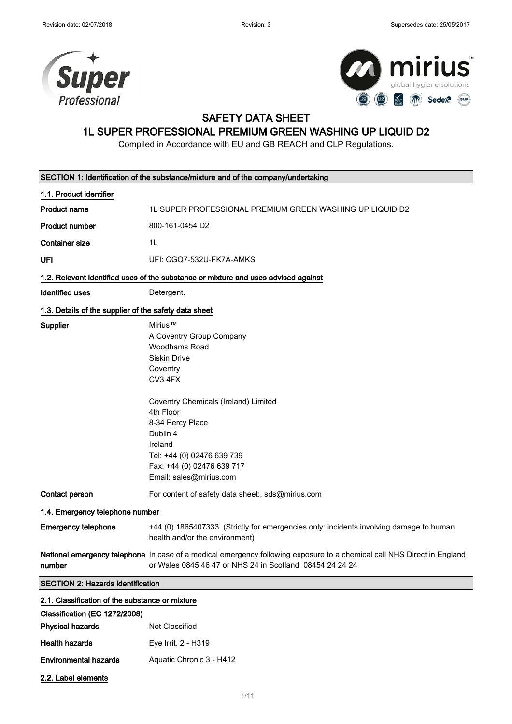



### SAFETY DATA SHEET

### 1L SUPER PROFESSIONAL PREMIUM GREEN WASHING UP LIQUID D2

Compiled in Accordance with EU and GB REACH and CLP Regulations.

|                                                       | SECTION 1: Identification of the substance/mixture and of the company/undertaking                                                                                                                                                                                                  |  |  |
|-------------------------------------------------------|------------------------------------------------------------------------------------------------------------------------------------------------------------------------------------------------------------------------------------------------------------------------------------|--|--|
| 1.1. Product identifier                               |                                                                                                                                                                                                                                                                                    |  |  |
| <b>Product name</b>                                   | 1L SUPER PROFESSIONAL PREMIUM GREEN WASHING UP LIQUID D2                                                                                                                                                                                                                           |  |  |
| <b>Product number</b>                                 | 800-161-0454 D2                                                                                                                                                                                                                                                                    |  |  |
| <b>Container size</b>                                 | 1L                                                                                                                                                                                                                                                                                 |  |  |
| UFI                                                   | UFI: CGQ7-532U-FK7A-AMKS                                                                                                                                                                                                                                                           |  |  |
|                                                       | 1.2. Relevant identified uses of the substance or mixture and uses advised against                                                                                                                                                                                                 |  |  |
| <b>Identified uses</b>                                | Detergent.                                                                                                                                                                                                                                                                         |  |  |
| 1.3. Details of the supplier of the safety data sheet |                                                                                                                                                                                                                                                                                    |  |  |
| Supplier                                              | Mirius™<br>A Coventry Group Company<br>Woodhams Road<br>Siskin Drive<br>Coventry<br>CV3 4FX<br>Coventry Chemicals (Ireland) Limited<br>4th Floor<br>8-34 Percy Place<br>Dublin 4<br>Ireland<br>Tel: +44 (0) 02476 639 739<br>Fax: +44 (0) 02476 639 717<br>Email: sales@mirius.com |  |  |
| Contact person                                        | For content of safety data sheet:, sds@mirius.com                                                                                                                                                                                                                                  |  |  |
| 1.4. Emergency telephone number                       |                                                                                                                                                                                                                                                                                    |  |  |
| <b>Emergency telephone</b>                            | +44 (0) 1865407333 (Strictly for emergencies only: incidents involving damage to human<br>health and/or the environment)                                                                                                                                                           |  |  |
| number                                                | National emergency telephone In case of a medical emergency following exposure to a chemical call NHS Direct in England<br>or Wales 0845 46 47 or NHS 24 in Scotland 08454 24 24 24                                                                                                |  |  |
| <b>SECTION 2: Hazards identification</b>              |                                                                                                                                                                                                                                                                                    |  |  |
| 2.1. Classification of the substance or mixture       |                                                                                                                                                                                                                                                                                    |  |  |
| Classification (EC 1272/2008)                         |                                                                                                                                                                                                                                                                                    |  |  |
| <b>Physical hazards</b>                               | Not Classified                                                                                                                                                                                                                                                                     |  |  |
| <b>Health hazards</b>                                 | Eye Irrit. 2 - H319                                                                                                                                                                                                                                                                |  |  |

### Environmental hazards Aquatic Chronic 3 - H412

2.2. Label elements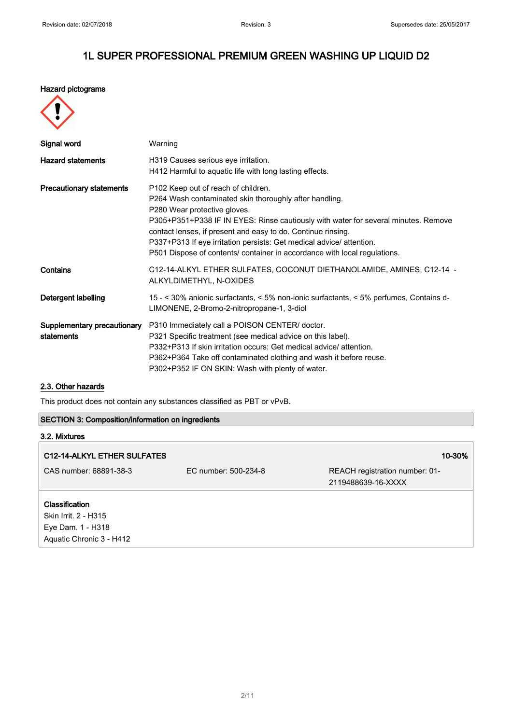#### Hazard pictograms

 $\curvearrowright$ 

| $\langle$ $\vert$                         |                                                                                                                                                                                                                                                                                                                                                                                                                                          |
|-------------------------------------------|------------------------------------------------------------------------------------------------------------------------------------------------------------------------------------------------------------------------------------------------------------------------------------------------------------------------------------------------------------------------------------------------------------------------------------------|
| Signal word                               | Warning                                                                                                                                                                                                                                                                                                                                                                                                                                  |
| <b>Hazard statements</b>                  | H319 Causes serious eye irritation.<br>H412 Harmful to aquatic life with long lasting effects.                                                                                                                                                                                                                                                                                                                                           |
| <b>Precautionary statements</b>           | P102 Keep out of reach of children.<br>P264 Wash contaminated skin thoroughly after handling.<br>P280 Wear protective gloves.<br>P305+P351+P338 IF IN EYES: Rinse cautiously with water for several minutes. Remove<br>contact lenses, if present and easy to do. Continue rinsing.<br>P337+P313 If eye irritation persists: Get medical advice/ attention.<br>P501 Dispose of contents/ container in accordance with local regulations. |
| Contains                                  | C12-14-ALKYL ETHER SULFATES, COCONUT DIETHANOLAMIDE, AMINES, C12-14 -<br>ALKYLDIMETHYL, N-OXIDES                                                                                                                                                                                                                                                                                                                                         |
| Detergent labelling                       | 15 - < 30% anionic surfactants, < 5% non-ionic surfactants, < 5% perfumes, Contains d-<br>LIMONENE, 2-Bromo-2-nitropropane-1, 3-diol                                                                                                                                                                                                                                                                                                     |
| Supplementary precautionary<br>statements | P310 Immediately call a POISON CENTER/ doctor.<br>P321 Specific treatment (see medical advice on this label).<br>P332+P313 If skin irritation occurs: Get medical advice/attention.<br>P362+P364 Take off contaminated clothing and wash it before reuse.<br>P302+P352 IF ON SKIN: Wash with plenty of water.                                                                                                                            |

#### 2.3. Other hazards

Eye Dam. 1 - H318 Aquatic Chronic 3 - H412

This product does not contain any substances classified as PBT or vPvB.

### SECTION 3: Composition/information on ingredients

# 3.2. Mixtures C12-14-ALKYL ETHER SULFATES 10-30% and the contract of the contract of the contract of the contract of the contract of the contract of the contract of the contract of the contract of the contract of the contract of the con CAS number: 68891-38-3 EC number: 500-234-8 REACH registration number: 01- 2119488639-16-XXXX Classification Skin Irrit. 2 - H315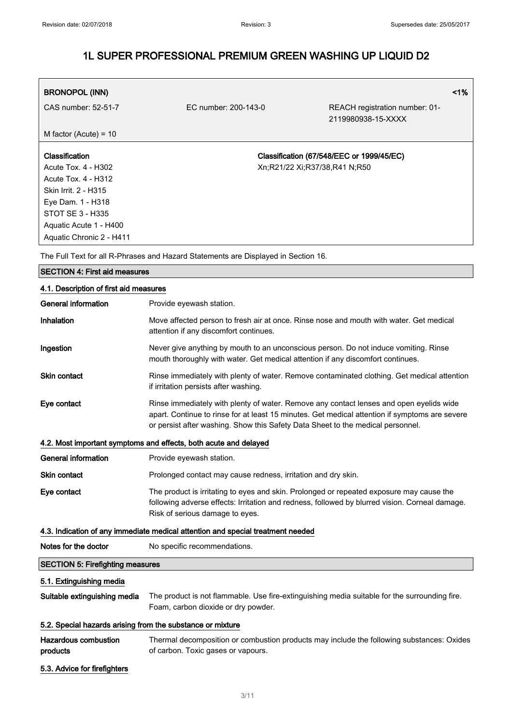| <b>BRONOPOL (INN)</b>      |                               |                                                      | $1\%$ |
|----------------------------|-------------------------------|------------------------------------------------------|-------|
| CAS number: 52-51-7        | EC number: 200-143-0          | REACH registration number: 01-<br>2119980938-15-XXXX |       |
| M factor (Acute) = $10$    |                               |                                                      |       |
|                            |                               |                                                      |       |
| Classification             |                               | Classification (67/548/EEC or 1999/45/EC)            |       |
| Acute Tox. 4 - H302        | Xn;R21/22 Xi;R37/38,R41 N;R50 |                                                      |       |
| <b>Acute Tox. 4 - H312</b> |                               |                                                      |       |
| Skin Irrit. 2 - H315       |                               |                                                      |       |
| Eye Dam. 1 - H318          |                               |                                                      |       |
| STOT SE 3 - H335           |                               |                                                      |       |
| Aquatic Acute 1 - H400     |                               |                                                      |       |
| Aquatic Chronic 2 - H411   |                               |                                                      |       |

The Full Text for all R-Phrases and Hazard Statements are Displayed in Section 16.

| <b>SECTION 4: First aid measures</b>                                            |                                                                                                                                                                                                                                                                              |  |
|---------------------------------------------------------------------------------|------------------------------------------------------------------------------------------------------------------------------------------------------------------------------------------------------------------------------------------------------------------------------|--|
| 4.1. Description of first aid measures                                          |                                                                                                                                                                                                                                                                              |  |
| <b>General information</b>                                                      | Provide eyewash station.                                                                                                                                                                                                                                                     |  |
| Inhalation                                                                      | Move affected person to fresh air at once. Rinse nose and mouth with water. Get medical<br>attention if any discomfort continues.                                                                                                                                            |  |
| Ingestion                                                                       | Never give anything by mouth to an unconscious person. Do not induce vomiting. Rinse<br>mouth thoroughly with water. Get medical attention if any discomfort continues.                                                                                                      |  |
| <b>Skin contact</b>                                                             | Rinse immediately with plenty of water. Remove contaminated clothing. Get medical attention<br>if irritation persists after washing.                                                                                                                                         |  |
| Eye contact                                                                     | Rinse immediately with plenty of water. Remove any contact lenses and open eyelids wide<br>apart. Continue to rinse for at least 15 minutes. Get medical attention if symptoms are severe<br>or persist after washing. Show this Safety Data Sheet to the medical personnel. |  |
| 4.2. Most important symptoms and effects, both acute and delayed                |                                                                                                                                                                                                                                                                              |  |
| General information                                                             | Provide eyewash station.                                                                                                                                                                                                                                                     |  |
| Skin contact                                                                    | Prolonged contact may cause redness, irritation and dry skin.                                                                                                                                                                                                                |  |
| Eye contact                                                                     | The product is irritating to eyes and skin. Prolonged or repeated exposure may cause the<br>following adverse effects: Irritation and redness, followed by blurred vision. Corneal damage.<br>Risk of serious damage to eyes.                                                |  |
| 4.3. Indication of any immediate medical attention and special treatment needed |                                                                                                                                                                                                                                                                              |  |
| Notes for the doctor                                                            | No specific recommendations.                                                                                                                                                                                                                                                 |  |
| <b>SECTION 5: Firefighting measures</b>                                         |                                                                                                                                                                                                                                                                              |  |
| 5.1. Extinguishing media                                                        |                                                                                                                                                                                                                                                                              |  |
| Suitable extinguishing media                                                    | The product is not flammable. Use fire-extinguishing media suitable for the surrounding fire.<br>Foam, carbon dioxide or dry powder.                                                                                                                                         |  |
| 5.2. Special hazards arising from the substance or mixture                      |                                                                                                                                                                                                                                                                              |  |
| <b>Hazardous combustion</b><br>products                                         | Thermal decomposition or combustion products may include the following substances: Oxides<br>of carbon. Toxic gases or vapours.                                                                                                                                              |  |
| 5.3. Advice for firefighters                                                    |                                                                                                                                                                                                                                                                              |  |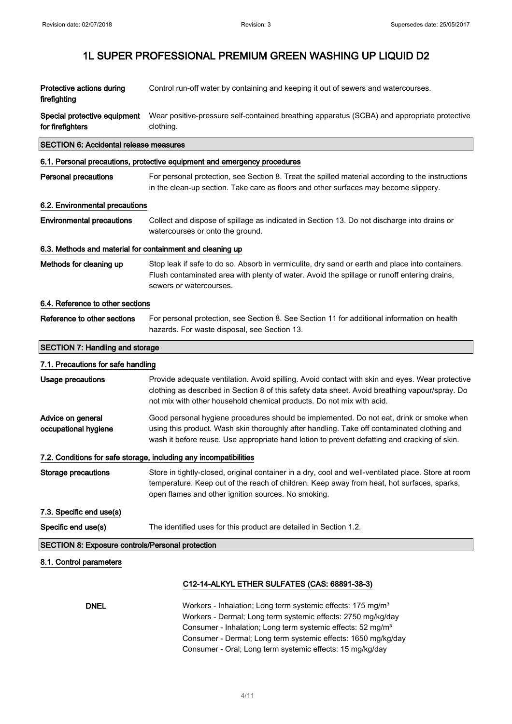| Protective actions during<br>firefighting                 | Control run-off water by containing and keeping it out of sewers and watercourses.                                                                                                                                                                                                                                                               |  |
|-----------------------------------------------------------|--------------------------------------------------------------------------------------------------------------------------------------------------------------------------------------------------------------------------------------------------------------------------------------------------------------------------------------------------|--|
| Special protective equipment<br>for firefighters          | Wear positive-pressure self-contained breathing apparatus (SCBA) and appropriate protective<br>clothing.                                                                                                                                                                                                                                         |  |
| <b>SECTION 6: Accidental release measures</b>             |                                                                                                                                                                                                                                                                                                                                                  |  |
|                                                           | 6.1. Personal precautions, protective equipment and emergency procedures                                                                                                                                                                                                                                                                         |  |
| <b>Personal precautions</b>                               | For personal protection, see Section 8. Treat the spilled material according to the instructions<br>in the clean-up section. Take care as floors and other surfaces may become slippery.                                                                                                                                                         |  |
| 6.2. Environmental precautions                            |                                                                                                                                                                                                                                                                                                                                                  |  |
| <b>Environmental precautions</b>                          | Collect and dispose of spillage as indicated in Section 13. Do not discharge into drains or<br>watercourses or onto the ground.                                                                                                                                                                                                                  |  |
| 6.3. Methods and material for containment and cleaning up |                                                                                                                                                                                                                                                                                                                                                  |  |
| Methods for cleaning up                                   | Stop leak if safe to do so. Absorb in vermiculite, dry sand or earth and place into containers.<br>Flush contaminated area with plenty of water. Avoid the spillage or runoff entering drains,<br>sewers or watercourses.                                                                                                                        |  |
| 6.4. Reference to other sections                          |                                                                                                                                                                                                                                                                                                                                                  |  |
| Reference to other sections                               | For personal protection, see Section 8. See Section 11 for additional information on health<br>hazards. For waste disposal, see Section 13.                                                                                                                                                                                                      |  |
| <b>SECTION 7: Handling and storage</b>                    |                                                                                                                                                                                                                                                                                                                                                  |  |
| 7.1. Precautions for safe handling                        |                                                                                                                                                                                                                                                                                                                                                  |  |
| Usage precautions                                         | Provide adequate ventilation. Avoid spilling. Avoid contact with skin and eyes. Wear protective<br>clothing as described in Section 8 of this safety data sheet. Avoid breathing vapour/spray. Do<br>not mix with other household chemical products. Do not mix with acid.                                                                       |  |
| Advice on general<br>occupational hygiene                 | Good personal hygiene procedures should be implemented. Do not eat, drink or smoke when<br>using this product. Wash skin thoroughly after handling. Take off contaminated clothing and<br>wash it before reuse. Use appropriate hand lotion to prevent defatting and cracking of skin.                                                           |  |
|                                                           | 7.2. Conditions for safe storage, including any incompatibilities                                                                                                                                                                                                                                                                                |  |
| <b>Storage precautions</b>                                | Store in tightly-closed, original container in a dry, cool and well-ventilated place. Store at room<br>temperature. Keep out of the reach of children. Keep away from heat, hot surfaces, sparks,<br>open flames and other ignition sources. No smoking.                                                                                         |  |
| 7.3. Specific end use(s)                                  |                                                                                                                                                                                                                                                                                                                                                  |  |
| Specific end use(s)                                       | The identified uses for this product are detailed in Section 1.2.                                                                                                                                                                                                                                                                                |  |
| <b>SECTION 8: Exposure controls/Personal protection</b>   |                                                                                                                                                                                                                                                                                                                                                  |  |
| 8.1. Control parameters                                   |                                                                                                                                                                                                                                                                                                                                                  |  |
|                                                           | C12-14-ALKYL ETHER SULFATES (CAS: 68891-38-3)                                                                                                                                                                                                                                                                                                    |  |
| <b>DNEL</b>                                               | Workers - Inhalation; Long term systemic effects: 175 mg/m <sup>3</sup><br>Workers - Dermal; Long term systemic effects: 2750 mg/kg/day<br>Consumer - Inhalation; Long term systemic effects: 52 mg/m <sup>3</sup><br>Consumer - Dermal; Long term systemic effects: 1650 mg/kg/day<br>Consumer - Oral; Long term systemic effects: 15 mg/kg/day |  |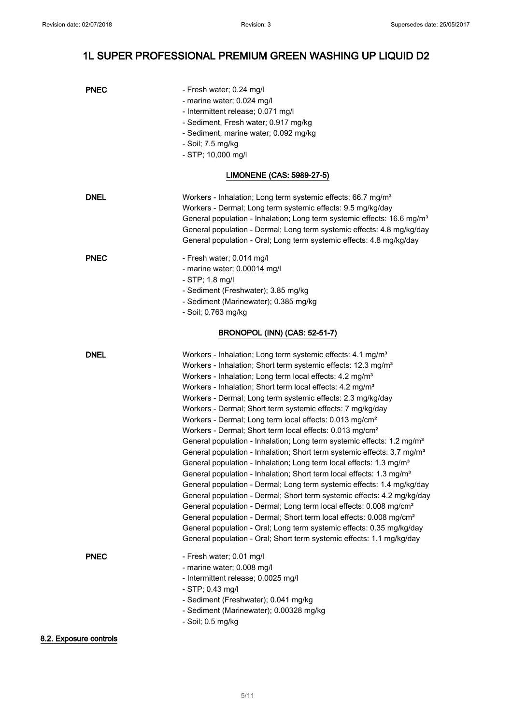| <b>PNEC</b>            | - Fresh water; 0.24 mg/l<br>- marine water; 0.024 mg/l<br>- Intermittent release; 0.071 mg/l<br>- Sediment, Fresh water; 0.917 mg/kg<br>- Sediment, marine water; 0.092 mg/kg<br>- Soil; 7.5 mg/kg<br>- STP; 10,000 mg/l                                                                                                                                                                                                                                                                                                                                                                                                                                                                                                                                                                                                                                                                                                                                                                                                                                                                                                                                                                                                                                                                                                                                                                                          |
|------------------------|-------------------------------------------------------------------------------------------------------------------------------------------------------------------------------------------------------------------------------------------------------------------------------------------------------------------------------------------------------------------------------------------------------------------------------------------------------------------------------------------------------------------------------------------------------------------------------------------------------------------------------------------------------------------------------------------------------------------------------------------------------------------------------------------------------------------------------------------------------------------------------------------------------------------------------------------------------------------------------------------------------------------------------------------------------------------------------------------------------------------------------------------------------------------------------------------------------------------------------------------------------------------------------------------------------------------------------------------------------------------------------------------------------------------|
|                        | LIMONENE (CAS: 5989-27-5)                                                                                                                                                                                                                                                                                                                                                                                                                                                                                                                                                                                                                                                                                                                                                                                                                                                                                                                                                                                                                                                                                                                                                                                                                                                                                                                                                                                         |
| <b>DNEL</b>            | Workers - Inhalation; Long term systemic effects: 66.7 mg/m <sup>3</sup><br>Workers - Dermal; Long term systemic effects: 9.5 mg/kg/day<br>General population - Inhalation; Long term systemic effects: 16.6 mg/m <sup>3</sup><br>General population - Dermal; Long term systemic effects: 4.8 mg/kg/day<br>General population - Oral; Long term systemic effects: 4.8 mg/kg/day                                                                                                                                                                                                                                                                                                                                                                                                                                                                                                                                                                                                                                                                                                                                                                                                                                                                                                                                                                                                                                  |
| <b>PNEC</b>            | - Fresh water; 0.014 mg/l<br>- marine water; 0.00014 mg/l<br>$-$ STP; 1.8 mg/l<br>- Sediment (Freshwater); 3.85 mg/kg<br>- Sediment (Marinewater); 0.385 mg/kg<br>- Soil; 0.763 mg/kg                                                                                                                                                                                                                                                                                                                                                                                                                                                                                                                                                                                                                                                                                                                                                                                                                                                                                                                                                                                                                                                                                                                                                                                                                             |
|                        | <b>BRONOPOL (INN) (CAS: 52-51-7)</b>                                                                                                                                                                                                                                                                                                                                                                                                                                                                                                                                                                                                                                                                                                                                                                                                                                                                                                                                                                                                                                                                                                                                                                                                                                                                                                                                                                              |
| <b>DNEL</b>            | Workers - Inhalation; Long term systemic effects: 4.1 mg/m <sup>3</sup><br>Workers - Inhalation; Short term systemic effects: 12.3 mg/m <sup>3</sup><br>Workers - Inhalation; Long term local effects: 4.2 mg/m <sup>3</sup><br>Workers - Inhalation; Short term local effects: 4.2 mg/m <sup>3</sup><br>Workers - Dermal; Long term systemic effects: 2.3 mg/kg/day<br>Workers - Dermal; Short term systemic effects: 7 mg/kg/day<br>Workers - Dermal; Long term local effects: 0.013 mg/cm <sup>2</sup><br>Workers - Dermal; Short term local effects: 0.013 mg/cm <sup>2</sup><br>General population - Inhalation; Long term systemic effects: 1.2 mg/m <sup>3</sup><br>General population - Inhalation; Short term systemic effects: 3.7 mg/m <sup>3</sup><br>General population - Inhalation; Long term local effects: 1.3 mg/m <sup>3</sup><br>General population - Inhalation; Short term local effects: 1.3 mg/m <sup>3</sup><br>General population - Dermal; Long term systemic effects: 1.4 mg/kg/day<br>General population - Dermal; Short term systemic effects: 4.2 mg/kg/day<br>General population - Dermal; Long term local effects: 0.008 mg/cm <sup>2</sup><br>General population - Dermal; Short term local effects: 0.008 mg/cm <sup>2</sup><br>General population - Oral; Long term systemic effects: 0.35 mg/kg/day<br>General population - Oral; Short term systemic effects: 1.1 mg/kg/day |
| <b>PNEC</b>            | - Fresh water; 0.01 mg/l<br>- marine water; 0.008 mg/l<br>- Intermittent release; 0.0025 mg/l<br>- STP; 0.43 mg/l<br>- Sediment (Freshwater); 0.041 mg/kg<br>- Sediment (Marinewater); 0.00328 mg/kg<br>- Soil; 0.5 mg/kg                                                                                                                                                                                                                                                                                                                                                                                                                                                                                                                                                                                                                                                                                                                                                                                                                                                                                                                                                                                                                                                                                                                                                                                         |
| 8.2. Exposure controls |                                                                                                                                                                                                                                                                                                                                                                                                                                                                                                                                                                                                                                                                                                                                                                                                                                                                                                                                                                                                                                                                                                                                                                                                                                                                                                                                                                                                                   |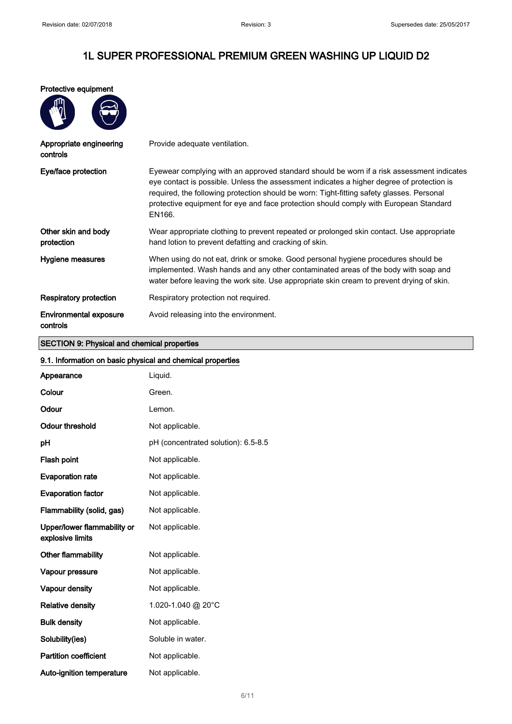Protective equipment

| Appropriate engineering<br>controls | Provide adequate ventilation.                                                                                                                                                                                                                                                                                                                                                          |
|-------------------------------------|----------------------------------------------------------------------------------------------------------------------------------------------------------------------------------------------------------------------------------------------------------------------------------------------------------------------------------------------------------------------------------------|
| Eye/face protection                 | Eyewear complying with an approved standard should be worn if a risk assessment indicates<br>eye contact is possible. Unless the assessment indicates a higher degree of protection is<br>required, the following protection should be worn: Tight-fitting safety glasses. Personal<br>protective equipment for eye and face protection should comply with European Standard<br>EN166. |
| Other skin and body<br>protection   | Wear appropriate clothing to prevent repeated or prolonged skin contact. Use appropriate<br>hand lotion to prevent defatting and cracking of skin.                                                                                                                                                                                                                                     |
| Hygiene measures                    | When using do not eat, drink or smoke. Good personal hygiene procedures should be<br>implemented. Wash hands and any other contaminated areas of the body with soap and<br>water before leaving the work site. Use appropriate skin cream to prevent drying of skin.                                                                                                                   |
| <b>Respiratory protection</b>       | Respiratory protection not required.                                                                                                                                                                                                                                                                                                                                                   |
| Environmental exposure<br>controls  | Avoid releasing into the environment.                                                                                                                                                                                                                                                                                                                                                  |

#### SECTION 9: Physical and chemical properties

| 9.1. Information on basic physical and chemical properties |                                     |  |
|------------------------------------------------------------|-------------------------------------|--|
| Appearance                                                 | Liquid.                             |  |
| Colour                                                     | Green.                              |  |
| Odour                                                      | Lemon.                              |  |
| <b>Odour threshold</b>                                     | Not applicable.                     |  |
| рH                                                         | pH (concentrated solution): 6.5-8.5 |  |
| <b>Flash point</b>                                         | Not applicable.                     |  |
| <b>Evaporation rate</b>                                    | Not applicable.                     |  |
| <b>Evaporation factor</b>                                  | Not applicable.                     |  |
| Flammability (solid, gas)                                  | Not applicable.                     |  |
| Upper/lower flammability or<br>explosive limits            | Not applicable.                     |  |
| Other flammability                                         | Not applicable.                     |  |
| Vapour pressure                                            | Not applicable.                     |  |
| Vapour density                                             | Not applicable.                     |  |
| <b>Relative density</b>                                    | 1.020-1.040 @ 20°C                  |  |
| <b>Bulk density</b>                                        | Not applicable.                     |  |
| Solubility(ies)                                            | Soluble in water.                   |  |
| <b>Partition coefficient</b>                               | Not applicable.                     |  |
| <b>Auto-ignition temperature</b>                           | Not applicable.                     |  |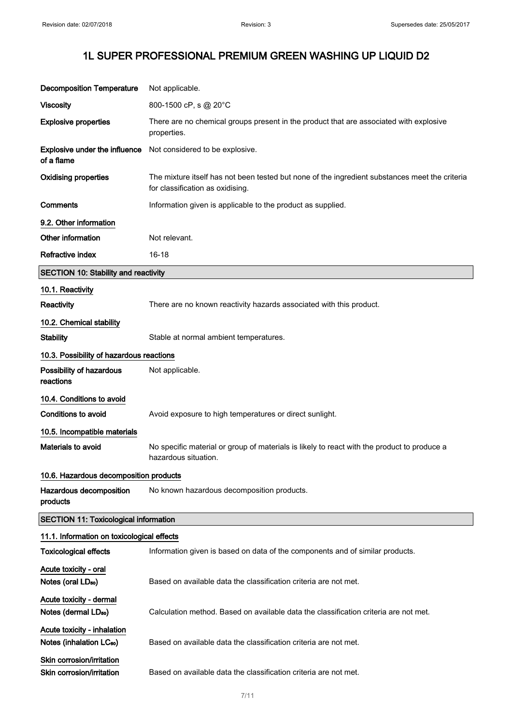| <b>Decomposition Temperature</b>                                    | Not applicable.                                                                                                                    |  |
|---------------------------------------------------------------------|------------------------------------------------------------------------------------------------------------------------------------|--|
| <b>Viscosity</b>                                                    | 800-1500 cP, s @ 20°C                                                                                                              |  |
| <b>Explosive properties</b>                                         | There are no chemical groups present in the product that are associated with explosive<br>properties.                              |  |
| Explosive under the influence<br>of a flame                         | Not considered to be explosive.                                                                                                    |  |
| <b>Oxidising properties</b>                                         | The mixture itself has not been tested but none of the ingredient substances meet the criteria<br>for classification as oxidising. |  |
| Comments                                                            | Information given is applicable to the product as supplied.                                                                        |  |
| 9.2. Other information                                              |                                                                                                                                    |  |
| Other information                                                   | Not relevant.                                                                                                                      |  |
| Refractive index                                                    | $16 - 18$                                                                                                                          |  |
| <b>SECTION 10: Stability and reactivity</b>                         |                                                                                                                                    |  |
| 10.1. Reactivity                                                    |                                                                                                                                    |  |
| Reactivity                                                          | There are no known reactivity hazards associated with this product.                                                                |  |
| 10.2. Chemical stability                                            |                                                                                                                                    |  |
| <b>Stability</b>                                                    | Stable at normal ambient temperatures.                                                                                             |  |
| 10.3. Possibility of hazardous reactions                            |                                                                                                                                    |  |
| Possibility of hazardous<br>reactions                               | Not applicable.                                                                                                                    |  |
| 10.4. Conditions to avoid                                           |                                                                                                                                    |  |
| <b>Conditions to avoid</b>                                          | Avoid exposure to high temperatures or direct sunlight.                                                                            |  |
| 10.5. Incompatible materials                                        |                                                                                                                                    |  |
| <b>Materials to avoid</b>                                           | No specific material or group of materials is likely to react with the product to produce a<br>hazardous situation.                |  |
| 10.6. Hazardous decomposition products                              |                                                                                                                                    |  |
| Hazardous decomposition<br>products                                 | No known hazardous decomposition products.                                                                                         |  |
| <b>SECTION 11: Toxicological information</b>                        |                                                                                                                                    |  |
| 11.1. Information on toxicological effects                          |                                                                                                                                    |  |
| <b>Toxicological effects</b>                                        | Information given is based on data of the components and of similar products.                                                      |  |
| Acute toxicity - oral<br>Notes (oral LD <sub>50</sub> )             | Based on available data the classification criteria are not met.                                                                   |  |
| Acute toxicity - dermal                                             |                                                                                                                                    |  |
| Notes (dermal LD <sub>50</sub> )                                    | Calculation method. Based on available data the classification criteria are not met.                                               |  |
| Acute toxicity - inhalation<br>Notes (inhalation LC <sub>50</sub> ) | Based on available data the classification criteria are not met.                                                                   |  |
| Skin corrosion/irritation<br>Skin corrosion/irritation              | Based on available data the classification criteria are not met.                                                                   |  |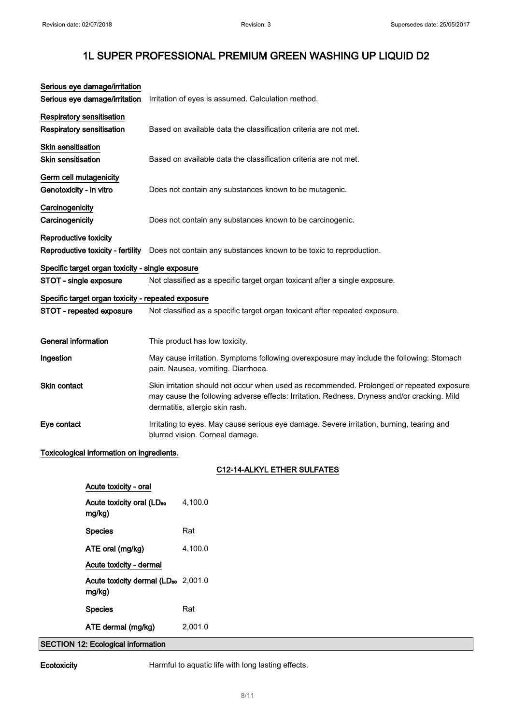| Serious eye damage/irritation                      |                                                                                                                                                                                                                             |
|----------------------------------------------------|-----------------------------------------------------------------------------------------------------------------------------------------------------------------------------------------------------------------------------|
| Serious eye damage/irritation                      | Irritation of eyes is assumed. Calculation method.                                                                                                                                                                          |
| Respiratory sensitisation                          |                                                                                                                                                                                                                             |
| Respiratory sensitisation                          | Based on available data the classification criteria are not met.                                                                                                                                                            |
| <b>Skin sensitisation</b>                          |                                                                                                                                                                                                                             |
| <b>Skin sensitisation</b>                          | Based on available data the classification criteria are not met.                                                                                                                                                            |
| Germ cell mutagenicity                             |                                                                                                                                                                                                                             |
| Genotoxicity - in vitro                            | Does not contain any substances known to be mutagenic.                                                                                                                                                                      |
| Carcinogenicity                                    |                                                                                                                                                                                                                             |
| Carcinogenicity                                    | Does not contain any substances known to be carcinogenic.                                                                                                                                                                   |
| Reproductive toxicity                              |                                                                                                                                                                                                                             |
| Reproductive toxicity - fertility                  | Does not contain any substances known to be toxic to reproduction.                                                                                                                                                          |
| Specific target organ toxicity - single exposure   |                                                                                                                                                                                                                             |
| STOT - single exposure                             | Not classified as a specific target organ toxicant after a single exposure.                                                                                                                                                 |
| Specific target organ toxicity - repeated exposure |                                                                                                                                                                                                                             |
| STOT - repeated exposure                           | Not classified as a specific target organ toxicant after repeated exposure.                                                                                                                                                 |
|                                                    |                                                                                                                                                                                                                             |
| <b>General information</b>                         | This product has low toxicity.                                                                                                                                                                                              |
| Ingestion                                          | May cause irritation. Symptoms following overexposure may include the following: Stomach<br>pain. Nausea, vomiting. Diarrhoea.                                                                                              |
| <b>Skin contact</b>                                | Skin irritation should not occur when used as recommended. Prolonged or repeated exposure<br>may cause the following adverse effects: Irritation. Redness. Dryness and/or cracking. Mild<br>dermatitis, allergic skin rash. |
| Eye contact                                        | Irritating to eyes. May cause serious eye damage. Severe irritation, burning, tearing and<br>blurred vision. Corneal damage.                                                                                                |

### Toxicological information on ingredients.

#### C12-14-ALKYL ETHER SULFATES

| Acute toxicity - oral                                     |         |
|-----------------------------------------------------------|---------|
| Acute toxicity oral (LD <sub>50</sub><br>mg/kg)           | 4.100.0 |
| <b>Species</b>                                            | Rat     |
| ATE oral (mg/kg)                                          | 4.100.0 |
| Acute toxicity - dermal                                   |         |
| Acute toxicity dermal (LD <sub>50</sub> 2,001.0<br>mg/kg) |         |
| <b>Species</b>                                            | Rat     |
| ATE dermal (mg/kg)                                        | 2.001.0 |
| 10. E.J.                                                  |         |

SECTION 12: Ecological information

Ecotoxicity **Harmful to aquatic life with long lasting effects.**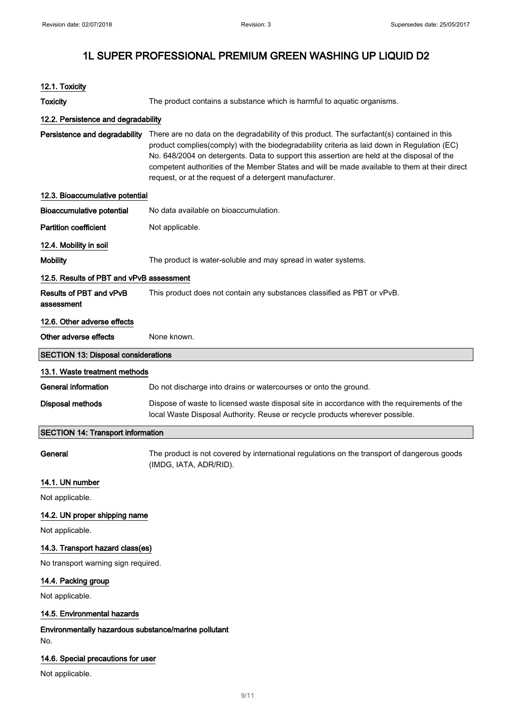| 12.1. Toxicity                                              |                                                                                                                                                                                                                                                                                                                                                                                                                                                      |  |
|-------------------------------------------------------------|------------------------------------------------------------------------------------------------------------------------------------------------------------------------------------------------------------------------------------------------------------------------------------------------------------------------------------------------------------------------------------------------------------------------------------------------------|--|
| <b>Toxicity</b>                                             | The product contains a substance which is harmful to aquatic organisms.                                                                                                                                                                                                                                                                                                                                                                              |  |
| 12.2. Persistence and degradability                         |                                                                                                                                                                                                                                                                                                                                                                                                                                                      |  |
| Persistence and degradability                               | There are no data on the degradability of this product. The surfactant(s) contained in this<br>product complies(comply) with the biodegradability criteria as laid down in Regulation (EC)<br>No. 648/2004 on detergents. Data to support this assertion are held at the disposal of the<br>competent authorities of the Member States and will be made available to them at their direct<br>request, or at the request of a detergent manufacturer. |  |
| 12.3. Bioaccumulative potential                             |                                                                                                                                                                                                                                                                                                                                                                                                                                                      |  |
| <b>Bioaccumulative potential</b>                            | No data available on bioaccumulation.                                                                                                                                                                                                                                                                                                                                                                                                                |  |
| <b>Partition coefficient</b>                                | Not applicable.                                                                                                                                                                                                                                                                                                                                                                                                                                      |  |
| 12.4. Mobility in soil                                      |                                                                                                                                                                                                                                                                                                                                                                                                                                                      |  |
| <b>Mobility</b>                                             | The product is water-soluble and may spread in water systems.                                                                                                                                                                                                                                                                                                                                                                                        |  |
| 12.5. Results of PBT and vPvB assessment                    |                                                                                                                                                                                                                                                                                                                                                                                                                                                      |  |
| Results of PBT and vPvB<br>assessment                       | This product does not contain any substances classified as PBT or vPvB.                                                                                                                                                                                                                                                                                                                                                                              |  |
| 12.6. Other adverse effects                                 |                                                                                                                                                                                                                                                                                                                                                                                                                                                      |  |
| Other adverse effects                                       | None known.                                                                                                                                                                                                                                                                                                                                                                                                                                          |  |
| <b>SECTION 13: Disposal considerations</b>                  |                                                                                                                                                                                                                                                                                                                                                                                                                                                      |  |
| 13.1. Waste treatment methods                               |                                                                                                                                                                                                                                                                                                                                                                                                                                                      |  |
| <b>General information</b>                                  | Do not discharge into drains or watercourses or onto the ground.                                                                                                                                                                                                                                                                                                                                                                                     |  |
| <b>Disposal methods</b>                                     | Dispose of waste to licensed waste disposal site in accordance with the requirements of the<br>local Waste Disposal Authority. Reuse or recycle products wherever possible.                                                                                                                                                                                                                                                                          |  |
| <b>SECTION 14: Transport information</b>                    |                                                                                                                                                                                                                                                                                                                                                                                                                                                      |  |
| General                                                     | The product is not covered by international regulations on the transport of dangerous goods<br>(IMDG, IATA, ADR/RID).                                                                                                                                                                                                                                                                                                                                |  |
| 14.1. UN number                                             |                                                                                                                                                                                                                                                                                                                                                                                                                                                      |  |
| Not applicable.                                             |                                                                                                                                                                                                                                                                                                                                                                                                                                                      |  |
| 14.2. UN proper shipping name                               |                                                                                                                                                                                                                                                                                                                                                                                                                                                      |  |
| Not applicable.                                             |                                                                                                                                                                                                                                                                                                                                                                                                                                                      |  |
| 14.3. Transport hazard class(es)                            |                                                                                                                                                                                                                                                                                                                                                                                                                                                      |  |
| No transport warning sign required.                         |                                                                                                                                                                                                                                                                                                                                                                                                                                                      |  |
| 14.4. Packing group                                         |                                                                                                                                                                                                                                                                                                                                                                                                                                                      |  |
| Not applicable.                                             |                                                                                                                                                                                                                                                                                                                                                                                                                                                      |  |
| 14.5. Environmental hazards                                 |                                                                                                                                                                                                                                                                                                                                                                                                                                                      |  |
| Environmentally hazardous substance/marine pollutant<br>No. |                                                                                                                                                                                                                                                                                                                                                                                                                                                      |  |
| 14.6. Special precautions for user                          |                                                                                                                                                                                                                                                                                                                                                                                                                                                      |  |
| Not applicable.                                             |                                                                                                                                                                                                                                                                                                                                                                                                                                                      |  |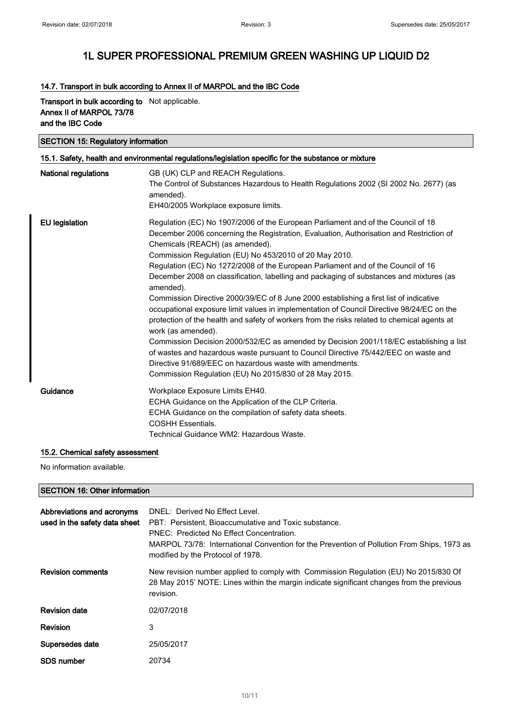### 14.7. Transport in bulk according to Annex II of MARPOL and the IBC Code

#### Transport in bulk according to Not applicable. Annex II of MARPOL 73/78 and the IBC Code

#### SECTION 15: Regulatory information

| 15.1. Safety, health and environmental regulations/legislation specific for the substance or mixture |                                                                                                                                                                                                                                                                                                                                                                                                                                                                                                                                                                                                                                                                                                                                                                                                                                                                                                                                                                                                                                                                                         |  |
|------------------------------------------------------------------------------------------------------|-----------------------------------------------------------------------------------------------------------------------------------------------------------------------------------------------------------------------------------------------------------------------------------------------------------------------------------------------------------------------------------------------------------------------------------------------------------------------------------------------------------------------------------------------------------------------------------------------------------------------------------------------------------------------------------------------------------------------------------------------------------------------------------------------------------------------------------------------------------------------------------------------------------------------------------------------------------------------------------------------------------------------------------------------------------------------------------------|--|
| National regulations                                                                                 | GB (UK) CLP and REACH Regulations.<br>The Control of Substances Hazardous to Health Regulations 2002 (SI 2002 No. 2677) (as<br>amended).<br>EH40/2005 Workplace exposure limits.                                                                                                                                                                                                                                                                                                                                                                                                                                                                                                                                                                                                                                                                                                                                                                                                                                                                                                        |  |
| <b>EU</b> legislation                                                                                | Regulation (EC) No 1907/2006 of the European Parliament and of the Council of 18<br>December 2006 concerning the Registration, Evaluation, Authorisation and Restriction of<br>Chemicals (REACH) (as amended).<br>Commission Regulation (EU) No 453/2010 of 20 May 2010.<br>Regulation (EC) No 1272/2008 of the European Parliament and of the Council of 16<br>December 2008 on classification, labelling and packaging of substances and mixtures (as<br>amended).<br>Commission Directive 2000/39/EC of 8 June 2000 establishing a first list of indicative<br>occupational exposure limit values in implementation of Council Directive 98/24/EC on the<br>protection of the health and safety of workers from the risks related to chemical agents at<br>work (as amended).<br>Commission Decision 2000/532/EC as amended by Decision 2001/118/EC establishing a list<br>of wastes and hazardous waste pursuant to Council Directive 75/442/EEC on waste and<br>Directive 91/689/EEC on hazardous waste with amendments.<br>Commission Regulation (EU) No 2015/830 of 28 May 2015. |  |
| Guidance                                                                                             | Workplace Exposure Limits EH40.<br>ECHA Guidance on the Application of the CLP Criteria.<br>ECHA Guidance on the compilation of safety data sheets.<br><b>COSHH Essentials.</b><br>Technical Guidance WM2: Hazardous Waste.                                                                                                                                                                                                                                                                                                                                                                                                                                                                                                                                                                                                                                                                                                                                                                                                                                                             |  |

#### 15.2. Chemical safety assessment

No information available.

#### SECTION 16: Other information

| Abbreviations and acronyms<br>used in the safety data sheet | DNEL: Derived No Effect Level.<br>PBT: Persistent, Bioaccumulative and Toxic substance.<br>PNEC: Predicted No Effect Concentration.<br>MARPOL 73/78: International Convention for the Prevention of Pollution From Ships, 1973 as<br>modified by the Protocol of 1978. |
|-------------------------------------------------------------|------------------------------------------------------------------------------------------------------------------------------------------------------------------------------------------------------------------------------------------------------------------------|
| <b>Revision comments</b>                                    | New revision number applied to comply with Commission Regulation (EU) No 2015/830 Of<br>28 May 2015' NOTE: Lines within the margin indicate significant changes from the previous<br>revision.                                                                         |
| <b>Revision date</b>                                        | 02/07/2018                                                                                                                                                                                                                                                             |
| Revision                                                    | 3                                                                                                                                                                                                                                                                      |
| Supersedes date                                             | 25/05/2017                                                                                                                                                                                                                                                             |
| SDS number                                                  | 20734                                                                                                                                                                                                                                                                  |